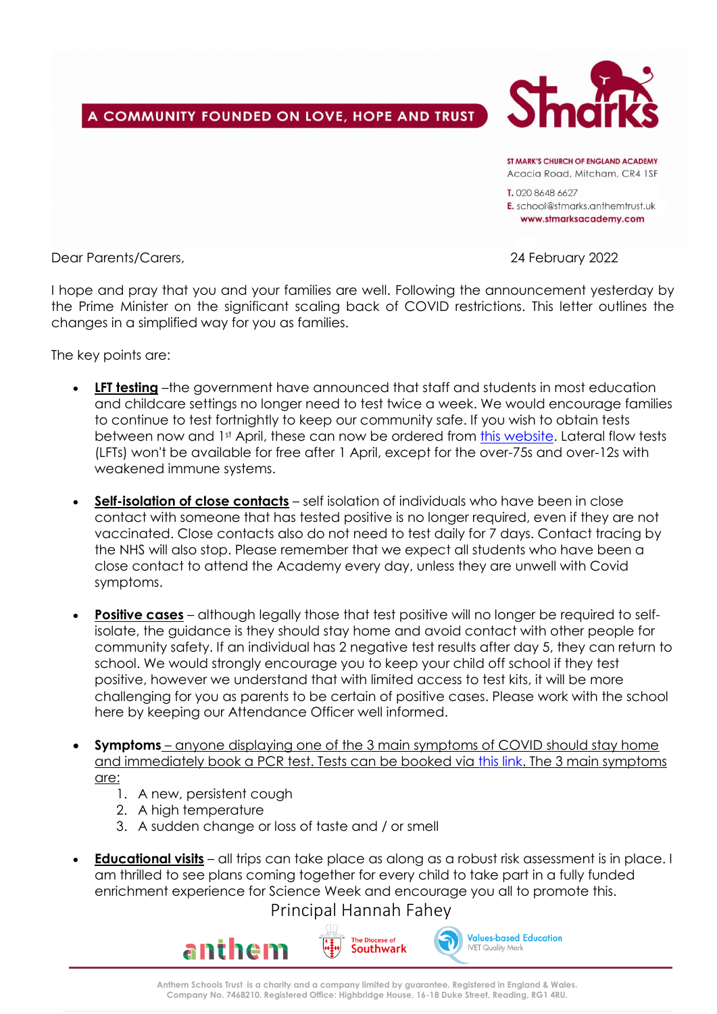A COMMUNITY FOUNDED ON LOVE, HOPE AND TRUST



ST MARK'S CHIIRCH OF FNGI AND ACADEMY Acacia Road, Mitcham, CR4 1SF

T. 020 8648 6627 E. school@stmarks.anthemtrust.uk www.stmarksacademy.com

Dear Parents/Carers, 24 February 2022

I hope and pray that you and your families are well. Following the announcement yesterday by the Prime Minister on the significant scaling back of COVID restrictions. This letter outlines the changes in a simplified way for you as families.

The key points are:

- **LFT testing** –the government have announced that staff and students in most education and childcare settings no longer need to test twice a week. We would encourage families to continue to test fortnightly to keep our community safe. If you wish to obtain tests between now and 1st April, these can now be ordered from [this website.](https://www.gov.uk/order-coronavirus-rapid-lateral-flow-tests) Lateral flow tests (LFTs) won't be available for free after 1 April, except for the over-75s and over-12s with weakened immune systems.
- **Self-isolation of close contacts** self isolation of individuals who have been in close contact with someone that has tested positive is no longer required, even if they are not vaccinated. Close contacts also do not need to test daily for 7 days. Contact tracing by the NHS will also stop. Please remember that we expect all students who have been a close contact to attend the Academy every day, unless they are unwell with Covid symptoms.
- **Positive cases** although legally those that test positive will no longer be required to selfisolate, the guidance is they should stay home and avoid contact with other people for community safety. If an individual has 2 negative test results after day 5, they can return to school. We would strongly encourage you to keep your child off school if they test positive, however we understand that with limited access to test kits, it will be more challenging for you as parents to be certain of positive cases. Please work with the school here by keeping our Attendance Officer well informed.
- **Symptoms** anyone displaying one of the 3 main symptoms of COVID should stay home and immediately book a PCR test. Tests can be booked via [this link.](https://www.gov.uk/get-coronavirus-test) The 3 main symptoms are:
	- 1. A new, persistent cough
	- 2. A high temperature
	- 3. A sudden change or loss of taste and / or smell
- **Educational visits** all trips can take place as along as a robust risk assessment is in place. I am thrilled to see plans coming together for every child to take part in a fully funded enrichment experience for Science Week and encourage you all to promote this.

Principal Hannah Fahey